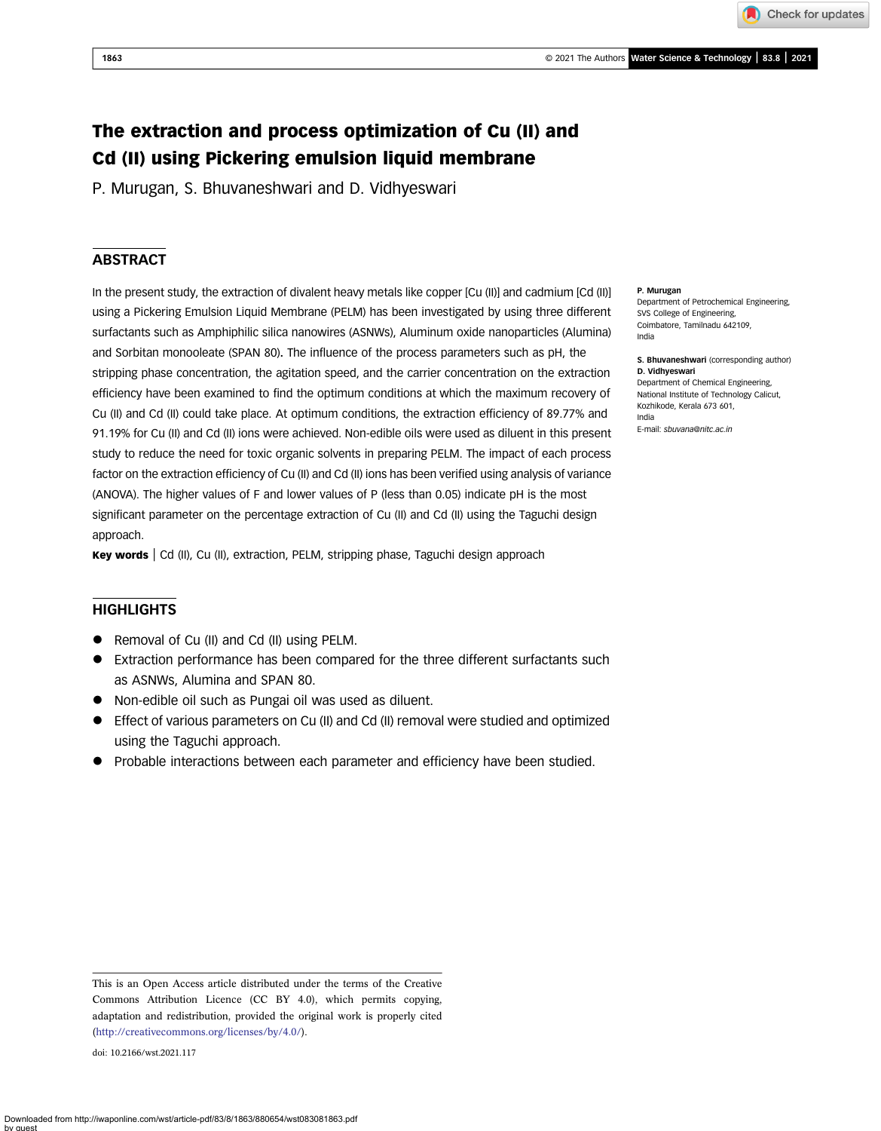Check for updates

# The extraction and process optimization of Cu (II) and Cd (II) using Pickering emulsion liquid membrane

P. Murugan, S. Bhuvaneshwari and D. Vidhyeswari

# **ABSTRACT**

In the present study, the extraction of divalent heavy metals like copper [Cu (II)] and cadmium [Cd (II)] using a Pickering Emulsion Liquid Membrane (PELM) has been investigated by using three different surfactants such as Amphiphilic silica nanowires (ASNWs), Aluminum oxide nanoparticles (Alumina) and Sorbitan monooleate (SPAN 80). The influence of the process parameters such as pH, the stripping phase concentration, the agitation speed, and the carrier concentration on the extraction efficiency have been examined to find the optimum conditions at which the maximum recovery of Cu (II) and Cd (II) could take place. At optimum conditions, the extraction efficiency of 89.77% and 91.19% for Cu (II) and Cd (II) ions were achieved. Non-edible oils were used as diluent in this present study to reduce the need for toxic organic solvents in preparing PELM. The impact of each process factor on the extraction efficiency of Cu (II) and Cd (II) ions has been verified using analysis of variance (ANOVA). The higher values of F and lower values of P (less than 0.05) indicate pH is the most significant parameter on the percentage extraction of Cu (II) and Cd (II) using the Taguchi design approach.

Key words | Cd (II), Cu (II), extraction, PELM, stripping phase, Taguchi design approach

# **HIGHLIGHTS**

- Removal of Cu (II) and Cd (II) using PELM.
- Extraction performance has been compared for the three different surfactants such as ASNWs, Alumina and SPAN 80.
- Non-edible oil such as Pungai oil was used as diluent.
- Effect of various parameters on Cu (II) and Cd (II) removal were studied and optimized using the Taguchi approach.
- Probable interactions between each parameter and efficiency have been studied.

doi: 10.2166/wst.2021.117

#### P. Murugan

Department of Petrochemical Engineering, SVS College of Engineering, Coimbatore, Tamilnadu 642109, India

S. Bhuvaneshwari (corresponding author) D. Vidhyeswari Department of Chemical Engineering, National Institute of Technology Calicut, Kozhikode, Kerala 673 601, India

E-mail: [sbuvana@nitc.ac.in](mailto:sbuvana@nitc.ac.in)

This is an Open Access article distributed under the terms of the Creative Commons Attribution Licence (CC BY 4.0), which permits copying, adaptation and redistribution, provided the original work is properly cited [\(http://creativecommons.org/licenses/by/4.0/](http://creativecommons.org/licenses/by/4.0/)).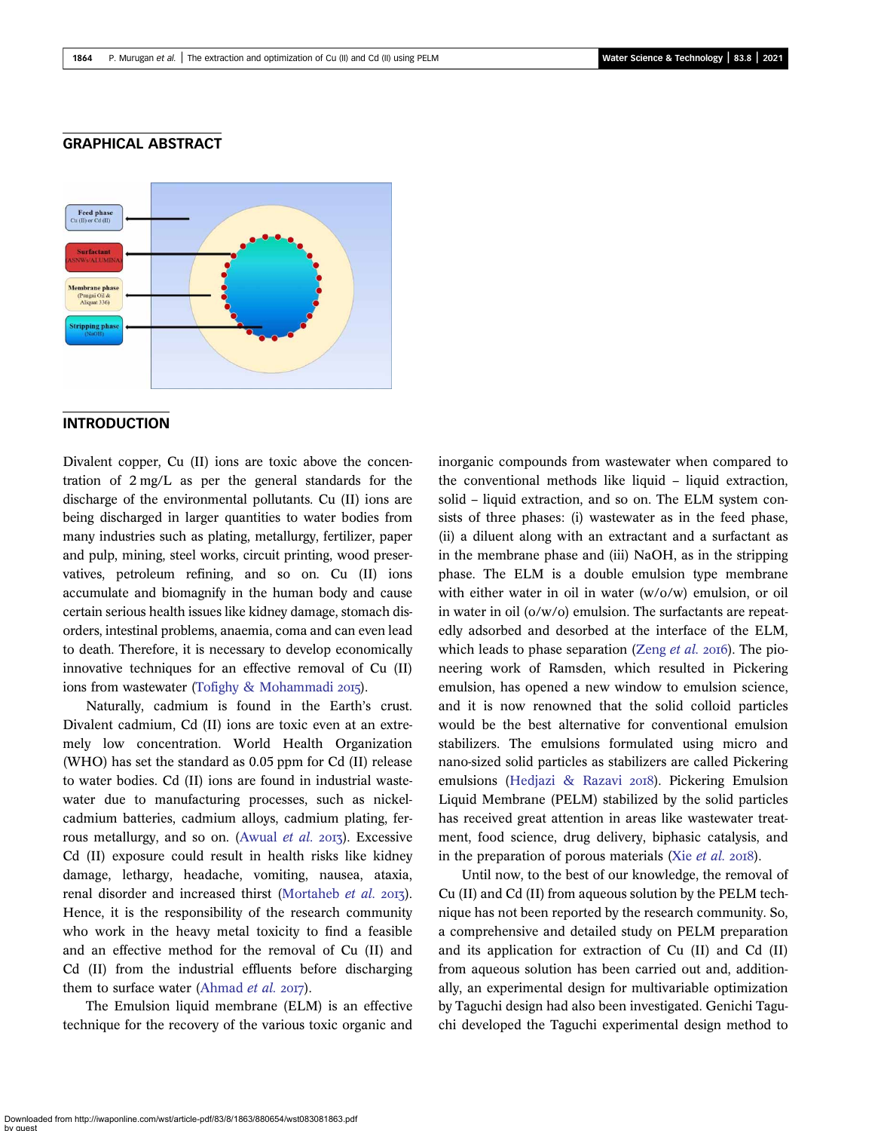### GRAPHICAL ABSTRACT



### **INTRODUCTION**

Divalent copper, Cu (II) ions are toxic above the concentration of 2 mg/L as per the general standards for the discharge of the environmental pollutants. Cu (II) ions are being discharged in larger quantities to water bodies from many industries such as plating, metallurgy, fertilizer, paper and pulp, mining, steel works, circuit printing, wood preservatives, petroleum refining, and so on. Cu (II) ions accumulate and biomagnify in the human body and cause certain serious health issues like kidney damage, stomach disorders, intestinal problems, anaemia, coma and can even lead to death. Therefore, it is necessary to develop economically innovative techniques for an effective removal of Cu (II) ions from wastewater [\(Tofighy & Mohammadi](#page-14-0) 2015).

Naturally, cadmium is found in the Earth's crust. Divalent cadmium, Cd (II) ions are toxic even at an extremely low concentration. World Health Organization (WHO) has set the standard as 0.05 ppm for Cd (II) release to water bodies. Cd (II) ions are found in industrial wastewater due to manufacturing processes, such as nickelcadmium batteries, cadmium alloys, cadmium plating, fer-rous metallurgy, and so on. ([Awual](#page-14-0) et al.  $2017$ ). Excessive Cd (II) exposure could result in health risks like kidney damage, lethargy, headache, vomiting, nausea, ataxia, renal disorder and increased thirst [\(Mortaheb](#page-14-0) et al. 2013). Hence, it is the responsibility of the research community who work in the heavy metal toxicity to find a feasible and an effective method for the removal of Cu (II) and Cd (II) from the industrial effluents before discharging them to surface water ([Ahmad](#page-14-0) et al.  $2017$ ).

The Emulsion liquid membrane (ELM) is an effective technique for the recovery of the various toxic organic and inorganic compounds from wastewater when compared to the conventional methods like liquid – liquid extraction, solid – liquid extraction, and so on. The ELM system consists of three phases: (i) wastewater as in the feed phase, (ii) a diluent along with an extractant and a surfactant as in the membrane phase and (iii) NaOH, as in the stripping phase. The ELM is a double emulsion type membrane with either water in oil in water (w/o/w) emulsion, or oil in water in oil (o/w/o) emulsion. The surfactants are repeatedly adsorbed and desorbed at the interface of the ELM, which leads to phase separation [\(Zeng](#page-14-0) et al.  $2016$ ). The pioneering work of Ramsden, which resulted in Pickering emulsion, has opened a new window to emulsion science, and it is now renowned that the solid colloid particles would be the best alternative for conventional emulsion stabilizers. The emulsions formulated using micro and nano-sized solid particles as stabilizers are called Pickering emulsions ([Hedjazi & Razavi](#page-14-0) 2018). Pickering Emulsion Liquid Membrane (PELM) stabilized by the solid particles has received great attention in areas like wastewater treatment, food science, drug delivery, biphasic catalysis, and in the preparation of porous materials (Xie  $et$   $al.$  2018).

Until now, to the best of our knowledge, the removal of Cu (II) and Cd (II) from aqueous solution by the PELM technique has not been reported by the research community. So, a comprehensive and detailed study on PELM preparation and its application for extraction of Cu (II) and Cd (II) from aqueous solution has been carried out and, additionally, an experimental design for multivariable optimization by Taguchi design had also been investigated. Genichi Taguchi developed the Taguchi experimental design method to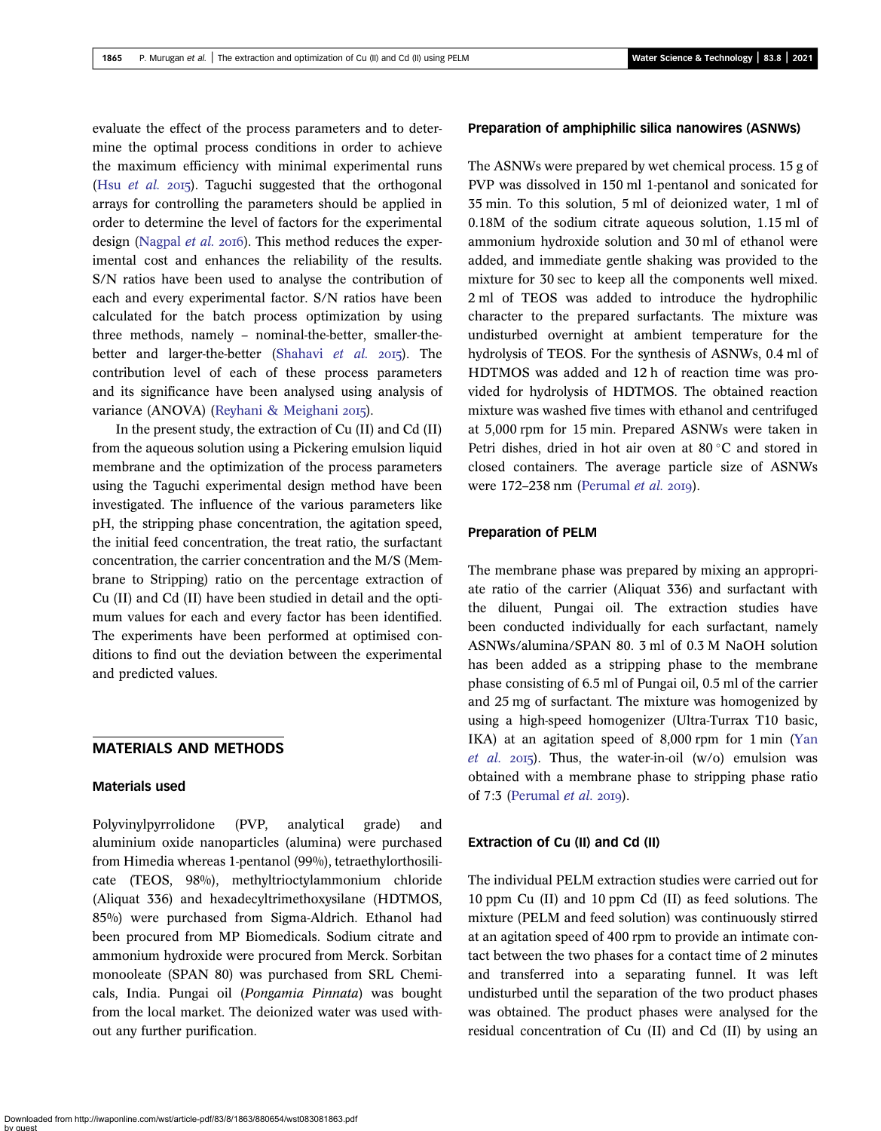evaluate the effect of the process parameters and to determine the optimal process conditions in order to achieve the maximum efficiency with minimal experimental runs (Hsu *[et al.](#page-14-0)* 2015). Taguchi suggested that the orthogonal arrays for controlling the parameters should be applied in order to determine the level of factors for the experimental design [\(Nagpal](#page-14-0) *et al.*  $20I6$ ). This method reduces the experimental cost and enhances the reliability of the results. S/N ratios have been used to analyse the contribution of each and every experimental factor. S/N ratios have been calculated for the batch process optimization by using three methods, namely – nominal-the-better, smaller-the-better and larger-the-better [\(Shahavi](#page-14-0) et al.  $2015$ ). The contribution level of each of these process parameters and its significance have been analysed using analysis of variance (ANOVA) ([Reyhani & Meighani](#page-14-0) 2015).

In the present study, the extraction of Cu (II) and Cd (II) from the aqueous solution using a Pickering emulsion liquid membrane and the optimization of the process parameters using the Taguchi experimental design method have been investigated. The influence of the various parameters like pH, the stripping phase concentration, the agitation speed, the initial feed concentration, the treat ratio, the surfactant concentration, the carrier concentration and the M/S (Membrane to Stripping) ratio on the percentage extraction of Cu (II) and Cd (II) have been studied in detail and the optimum values for each and every factor has been identified. The experiments have been performed at optimised conditions to find out the deviation between the experimental and predicted values.

### MATERIALS AND METHODS

#### Materials used

Polyvinylpyrrolidone (PVP, analytical grade) and aluminium oxide nanoparticles (alumina) were purchased from Himedia whereas 1-pentanol (99%), tetraethylorthosilicate (TEOS, 98%), methyltrioctylammonium chloride (Aliquat 336) and hexadecyltrimethoxysilane (HDTMOS, 85%) were purchased from Sigma-Aldrich. Ethanol had been procured from MP Biomedicals. Sodium citrate and ammonium hydroxide were procured from Merck. Sorbitan monooleate (SPAN 80) was purchased from SRL Chemicals, India. Pungai oil (Pongamia Pinnata) was bought from the local market. The deionized water was used without any further purification.

#### Preparation of amphiphilic silica nanowires (ASNWs)

The ASNWs were prepared by wet chemical process. 15 g of PVP was dissolved in 150 ml 1-pentanol and sonicated for 35 min. To this solution, 5 ml of deionized water, 1 ml of 0.18M of the sodium citrate aqueous solution, 1.15 ml of ammonium hydroxide solution and 30 ml of ethanol were added, and immediate gentle shaking was provided to the mixture for 30 sec to keep all the components well mixed. 2 ml of TEOS was added to introduce the hydrophilic character to the prepared surfactants. The mixture was undisturbed overnight at ambient temperature for the hydrolysis of TEOS. For the synthesis of ASNWs, 0.4 ml of HDTMOS was added and 12 h of reaction time was provided for hydrolysis of HDTMOS. The obtained reaction mixture was washed five times with ethanol and centrifuged at 5,000 rpm for 15 min. Prepared ASNWs were taken in Petri dishes, dried in hot air oven at  $80^{\circ}$ C and stored in closed containers. The average particle size of ASNWs were  $172-238$  nm [\(Perumal](#page-14-0) et al. 2019).

#### Preparation of PELM

The membrane phase was prepared by mixing an appropriate ratio of the carrier (Aliquat 336) and surfactant with the diluent, Pungai oil. The extraction studies have been conducted individually for each surfactant, namely ASNWs/alumina/SPAN 80. 3 ml of 0.3 M NaOH solution has been added as a stripping phase to the membrane phase consisting of 6.5 ml of Pungai oil, 0.5 ml of the carrier and 25 mg of surfactant. The mixture was homogenized by using a high-speed homogenizer (Ultra-Turrax T10 basic, IKA) at an agitation speed of 8,000 rpm for 1 min ([Yan](#page-14-0) [et al.](#page-14-0) 2015). Thus, the water-in-oil (w/o) emulsion was obtained with a membrane phase to stripping phase ratio of  $7:3$  ([Perumal](#page-14-0) et al. 2019).

#### Extraction of Cu (II) and Cd (II)

The individual PELM extraction studies were carried out for 10 ppm Cu (II) and 10 ppm Cd (II) as feed solutions. The mixture (PELM and feed solution) was continuously stirred at an agitation speed of 400 rpm to provide an intimate contact between the two phases for a contact time of 2 minutes and transferred into a separating funnel. It was left undisturbed until the separation of the two product phases was obtained. The product phases were analysed for the residual concentration of Cu (II) and Cd (II) by using an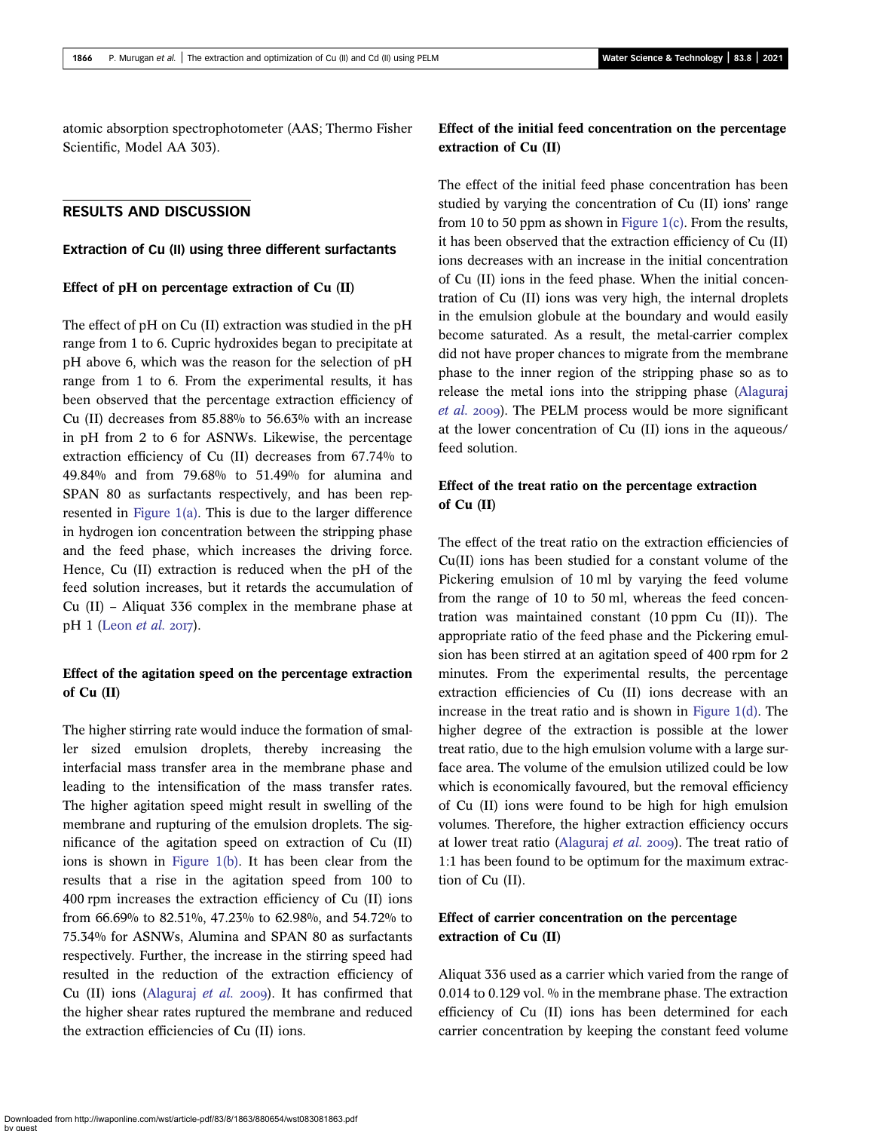atomic absorption spectrophotometer (AAS; Thermo Fisher Scientific, Model AA 303).

### RESULTS AND DISCUSSION

### Extraction of Cu (II) using three different surfactants

#### Effect of pH on percentage extraction of Cu (II)

The effect of pH on Cu (II) extraction was studied in the pH range from 1 to 6. Cupric hydroxides began to precipitate at pH above 6, which was the reason for the selection of pH range from 1 to 6. From the experimental results, it has been observed that the percentage extraction efficiency of Cu (II) decreases from 85.88% to 56.63% with an increase in pH from 2 to 6 for ASNWs. Likewise, the percentage extraction efficiency of Cu (II) decreases from 67.74% to 49.84% and from 79.68% to 51.49% for alumina and SPAN 80 as surfactants respectively, and has been represented in [Figure 1\(a\).](#page-4-0) This is due to the larger difference in hydrogen ion concentration between the stripping phase and the feed phase, which increases the driving force. Hence, Cu (II) extraction is reduced when the pH of the feed solution increases, but it retards the accumulation of Cu (II) – Aliquat 336 complex in the membrane phase at  $pH 1$  ([Leon](#page-14-0) *et al.* 2017).

### Effect of the agitation speed on the percentage extraction of Cu (II)

The higher stirring rate would induce the formation of smaller sized emulsion droplets, thereby increasing the interfacial mass transfer area in the membrane phase and leading to the intensification of the mass transfer rates. The higher agitation speed might result in swelling of the membrane and rupturing of the emulsion droplets. The significance of the agitation speed on extraction of Cu (II) ions is shown in [Figure 1\(b\)](#page-4-0). It has been clear from the results that a rise in the agitation speed from 100 to 400 rpm increases the extraction efficiency of Cu (II) ions from 66.69% to 82.51%, 47.23% to 62.98%, and 54.72% to 75.34% for ASNWs, Alumina and SPAN 80 as surfactants respectively. Further, the increase in the stirring speed had resulted in the reduction of the extraction efficiency of Cu (II) ions ([Alaguraj](#page-14-0) et al. 2009). It has confirmed that the higher shear rates ruptured the membrane and reduced the extraction efficiencies of Cu (II) ions.

# Effect of the initial feed concentration on the percentage extraction of Cu (II)

The effect of the initial feed phase concentration has been studied by varying the concentration of Cu (II) ions' range from 10 to 50 ppm as shown in Figure 1 $(c)$ . From the results, it has been observed that the extraction efficiency of Cu (II) ions decreases with an increase in the initial concentration of Cu (II) ions in the feed phase. When the initial concentration of Cu (II) ions was very high, the internal droplets in the emulsion globule at the boundary and would easily become saturated. As a result, the metal-carrier complex did not have proper chances to migrate from the membrane phase to the inner region of the stripping phase so as to release the metal ions into the stripping phase [\(Alaguraj](#page-14-0) [et al.](#page-14-0) 2009). The PELM process would be more significant at the lower concentration of Cu (II) ions in the aqueous/ feed solution.

## Effect of the treat ratio on the percentage extraction of  $Cu$  (II)

The effect of the treat ratio on the extraction efficiencies of Cu(II) ions has been studied for a constant volume of the Pickering emulsion of 10 ml by varying the feed volume from the range of 10 to 50 ml, whereas the feed concentration was maintained constant (10 ppm Cu (II)). The appropriate ratio of the feed phase and the Pickering emulsion has been stirred at an agitation speed of 400 rpm for 2 minutes. From the experimental results, the percentage extraction efficiencies of Cu (II) ions decrease with an increase in the treat ratio and is shown in [Figure 1\(d\).](#page-4-0) The higher degree of the extraction is possible at the lower treat ratio, due to the high emulsion volume with a large surface area. The volume of the emulsion utilized could be low which is economically favoured, but the removal efficiency of Cu (II) ions were found to be high for high emulsion volumes. Therefore, the higher extraction efficiency occurs at lower treat ratio ([Alaguraj](#page-14-0) et al. 2009). The treat ratio of 1:1 has been found to be optimum for the maximum extraction of Cu (II).

# Effect of carrier concentration on the percentage extraction of Cu (II)

Aliquat 336 used as a carrier which varied from the range of 0.014 to 0.129 vol. % in the membrane phase. The extraction efficiency of Cu (II) ions has been determined for each carrier concentration by keeping the constant feed volume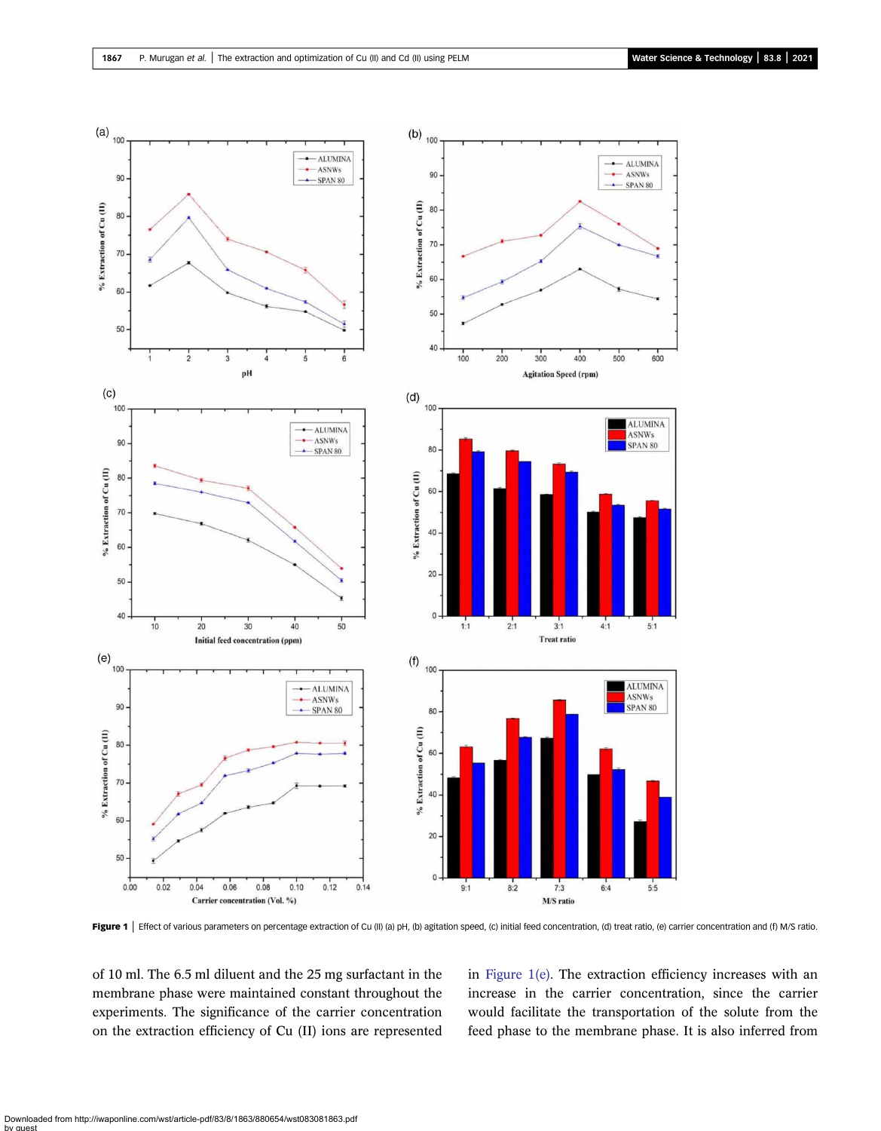<span id="page-4-0"></span>

Figure 1 | Effect of various parameters on percentage extraction of Cu (II) (a) pH, (b) agitation speed, (c) initial feed concentration, (d) treat ratio, (e) carrier concentration and (f) M/S ratio.

of 10 ml. The 6.5 ml diluent and the 25 mg surfactant in the membrane phase were maintained constant throughout the experiments. The significance of the carrier concentration on the extraction efficiency of Cu (II) ions are represented in Figure 1(e). The extraction efficiency increases with an increase in the carrier concentration, since the carrier would facilitate the transportation of the solute from the feed phase to the membrane phase. It is also inferred from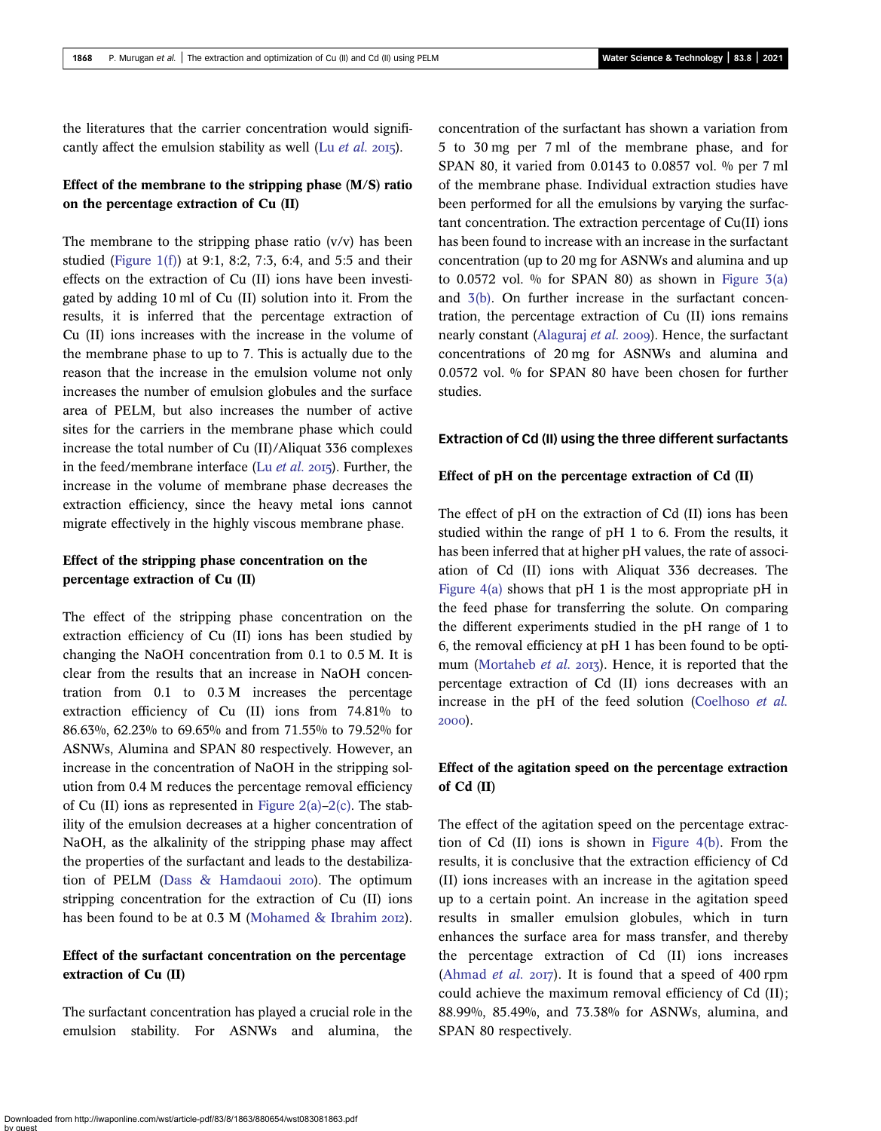the literatures that the carrier concentration would significantly affect the emulsion stability as well (Lu  $et$  al. 2015).

### Effect of the membrane to the stripping phase (M/S) ratio on the percentage extraction of Cu (II)

The membrane to the stripping phase ratio  $(v/v)$  has been studied [\(Figure 1\(f\)\)](#page-4-0) at 9:1, 8:2, 7:3, 6:4, and 5:5 and their effects on the extraction of Cu (II) ions have been investigated by adding 10 ml of Cu (II) solution into it. From the results, it is inferred that the percentage extraction of Cu (II) ions increases with the increase in the volume of the membrane phase to up to 7. This is actually due to the reason that the increase in the emulsion volume not only increases the number of emulsion globules and the surface area of PELM, but also increases the number of active sites for the carriers in the membrane phase which could increase the total number of Cu (II)/Aliquat 336 complexes in the feed/membrane interface (Lu  $et$  al. 2015). Further, the increase in the volume of membrane phase decreases the extraction efficiency, since the heavy metal ions cannot migrate effectively in the highly viscous membrane phase.

## Effect of the stripping phase concentration on the percentage extraction of Cu (II)

The effect of the stripping phase concentration on the extraction efficiency of Cu (II) ions has been studied by changing the NaOH concentration from 0.1 to 0.5 M. It is clear from the results that an increase in NaOH concentration from 0.1 to 0.3 M increases the percentage extraction efficiency of Cu (II) ions from 74.81% to 86.63%, 62.23% to 69.65% and from 71.55% to 79.52% for ASNWs, Alumina and SPAN 80 respectively. However, an increase in the concentration of NaOH in the stripping solution from 0.4 M reduces the percentage removal efficiency of Cu (II) ions as represented in Figure  $2(a)-2(c)$  $2(a)-2(c)$ . The stability of the emulsion decreases at a higher concentration of NaOH, as the alkalinity of the stripping phase may affect the properties of the surfactant and leads to the destabiliza-tion of PELM [\(Dass & Hamdaoui](#page-14-0) 2010). The optimum stripping concentration for the extraction of Cu (II) ions has been found to be at  $0.3$  M [\(Mohamed & Ibrahim](#page-14-0) 2012).

# Effect of the surfactant concentration on the percentage extraction of Cu (II)

The surfactant concentration has played a crucial role in the emulsion stability. For ASNWs and alumina, the concentration of the surfactant has shown a variation from 5 to 30 mg per 7 ml of the membrane phase, and for SPAN 80, it varied from 0.0143 to 0.0857 vol. % per 7 ml of the membrane phase. Individual extraction studies have been performed for all the emulsions by varying the surfactant concentration. The extraction percentage of Cu(II) ions has been found to increase with an increase in the surfactant concentration (up to 20 mg for ASNWs and alumina and up to 0.0572 vol. % for SPAN 80) as shown in Figure  $3(a)$ and [3\(b\).](#page-6-0) On further increase in the surfactant concentration, the percentage extraction of Cu (II) ions remains nearly constant ([Alaguraj](#page-14-0) et al. 2009). Hence, the surfactant concentrations of 20 mg for ASNWs and alumina and 0.0572 vol. % for SPAN 80 have been chosen for further studies.

#### Extraction of Cd (II) using the three different surfactants

#### Effect of pH on the percentage extraction of Cd (II)

The effect of pH on the extraction of Cd (II) ions has been studied within the range of pH 1 to 6. From the results, it has been inferred that at higher pH values, the rate of association of Cd (II) ions with Aliquat 336 decreases. The [Figure 4\(a\)](#page-7-0) shows that pH 1 is the most appropriate pH in the feed phase for transferring the solute. On comparing the different experiments studied in the pH range of 1 to 6, the removal efficiency at pH 1 has been found to be opti-mum ([Mortaheb](#page-14-0) *et al.* 2013). Hence, it is reported that the percentage extraction of Cd (II) ions decreases with an increase in the pH of the feed solution [\(Coelhoso](#page-14-0) et al. 2000).

### Effect of the agitation speed on the percentage extraction of Cd (II)

The effect of the agitation speed on the percentage extraction of Cd (II) ions is shown in [Figure 4\(b\)](#page-7-0). From the results, it is conclusive that the extraction efficiency of Cd (II) ions increases with an increase in the agitation speed up to a certain point. An increase in the agitation speed results in smaller emulsion globules, which in turn enhances the surface area for mass transfer, and thereby the percentage extraction of Cd (II) ions increases ([Ahmad](#page-14-0) *et al.* 2017). It is found that a speed of 400 rpm could achieve the maximum removal efficiency of Cd (II); 88.99%, 85.49%, and 73.38% for ASNWs, alumina, and SPAN 80 respectively.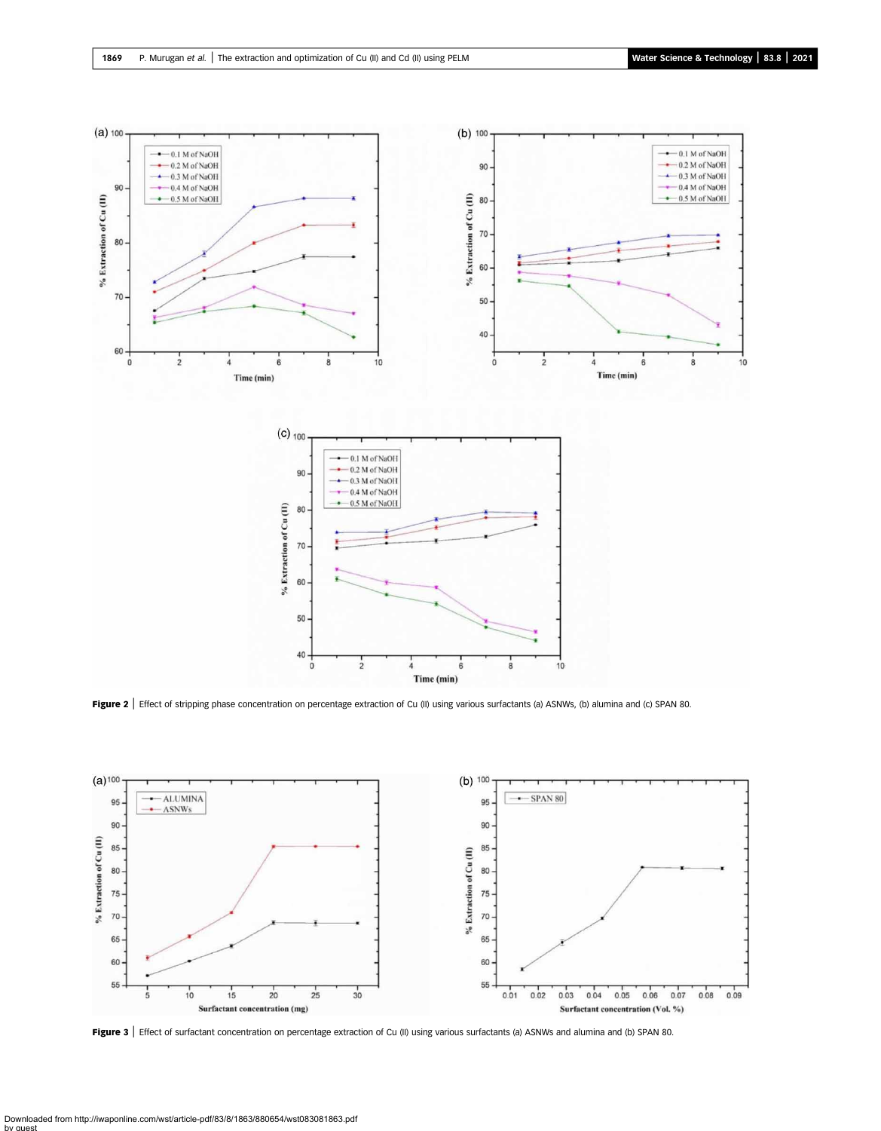<span id="page-6-0"></span>

Figure 2 | Effect of stripping phase concentration on percentage extraction of Cu (II) using various surfactants (a) ASNWs, (b) alumina and (c) SPAN 80.



Figure 3 | Effect of surfactant concentration on percentage extraction of Cu (II) using various surfactants (a) ASNWs and alumina and (b) SPAN 80.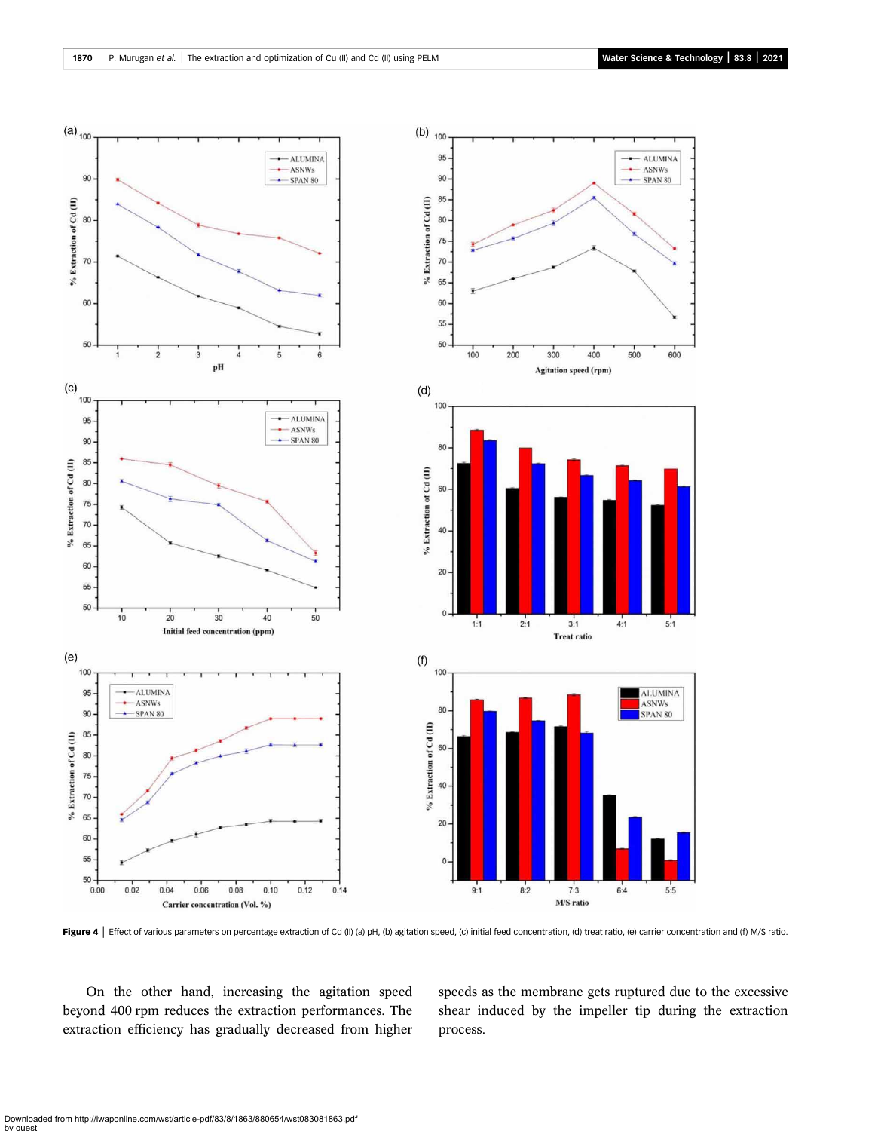<span id="page-7-0"></span>

Figure 4 | Effect of various parameters on percentage extraction of Cd (II) (a) pH, (b) agitation speed, (c) initial feed concentration, (d) treat ratio, (e) carrier concentration and (f) M/S ratio.

On the other hand, increasing the agitation speed beyond 400 rpm reduces the extraction performances. The extraction efficiency has gradually decreased from higher speeds as the membrane gets ruptured due to the excessive shear induced by the impeller tip during the extraction process.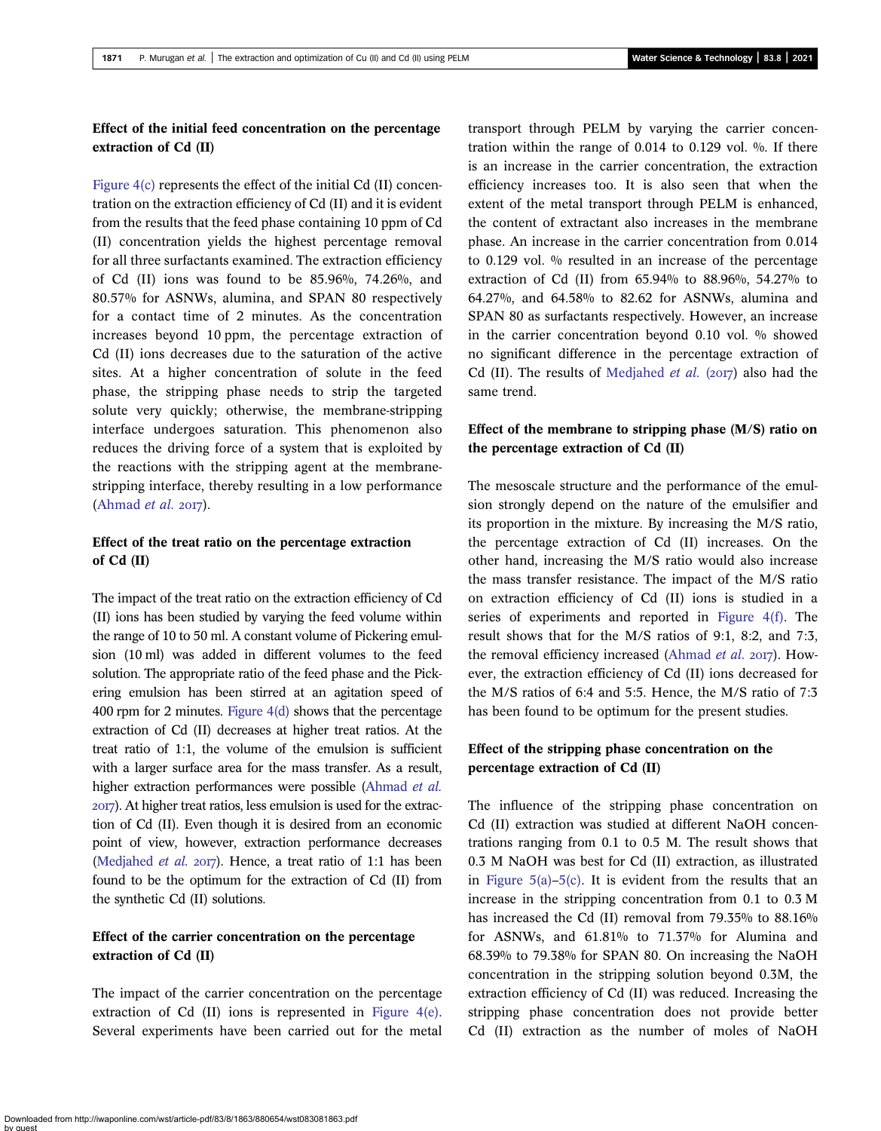# Effect of the initial feed concentration on the percentage extraction of Cd (II)

[Figure 4\(c\)](#page-7-0) represents the effect of the initial Cd (II) concentration on the extraction efficiency of Cd (II) and it is evident from the results that the feed phase containing 10 ppm of Cd (II) concentration yields the highest percentage removal for all three surfactants examined. The extraction efficiency of Cd (II) ions was found to be 85.96%, 74.26%, and 80.57% for ASNWs, alumina, and SPAN 80 respectively for a contact time of 2 minutes. As the concentration increases beyond 10 ppm, the percentage extraction of Cd (II) ions decreases due to the saturation of the active sites. At a higher concentration of solute in the feed phase, the stripping phase needs to strip the targeted solute very quickly; otherwise, the membrane-stripping interface undergoes saturation. This phenomenon also reduces the driving force of a system that is exploited by the reactions with the stripping agent at the membranestripping interface, thereby resulting in a low performance [\(Ahmad](#page-14-0) *et al.* 2017).

# Effect of the treat ratio on the percentage extraction of Cd (II)

The impact of the treat ratio on the extraction efficiency of Cd (II) ions has been studied by varying the feed volume within the range of 10 to 50 ml. A constant volume of Pickering emulsion (10 ml) was added in different volumes to the feed solution. The appropriate ratio of the feed phase and the Pickering emulsion has been stirred at an agitation speed of 400 rpm for 2 minutes. [Figure 4\(d\)](#page-7-0) shows that the percentage extraction of Cd (II) decreases at higher treat ratios. At the treat ratio of 1:1, the volume of the emulsion is sufficient with a larger surface area for the mass transfer. As a result, higher extraction performances were possible [\(Ahmad](#page-14-0) et al. ). At higher treat ratios, less emulsion is used for the extraction of Cd (II). Even though it is desired from an economic point of view, however, extraction performance decreases [\(Medjahed](#page-14-0) et al.  $20T$ ). Hence, a treat ratio of 1:1 has been found to be the optimum for the extraction of Cd (II) from the synthetic Cd (II) solutions.

# Effect of the carrier concentration on the percentage extraction of Cd (II)

The impact of the carrier concentration on the percentage extraction of Cd (II) ions is represented in [Figure 4\(e\).](#page-7-0) Several experiments have been carried out for the metal transport through PELM by varying the carrier concentration within the range of  $0.014$  to  $0.129$  vol.  $\%$ . If there is an increase in the carrier concentration, the extraction efficiency increases too. It is also seen that when the extent of the metal transport through PELM is enhanced, the content of extractant also increases in the membrane phase. An increase in the carrier concentration from 0.014 to 0.129 vol. % resulted in an increase of the percentage extraction of Cd (II) from 65.94% to 88.96%, 54.27% to 64.27%, and 64.58% to 82.62 for ASNWs, alumina and SPAN 80 as surfactants respectively. However, an increase in the carrier concentration beyond 0.10 vol. % showed no significant difference in the percentage extraction of Cd (II). The results of [Medjahed](#page-14-0) *et al.* ( $2017$ ) also had the same trend.

# Effect of the membrane to stripping phase (M/S) ratio on the percentage extraction of Cd (II)

The mesoscale structure and the performance of the emulsion strongly depend on the nature of the emulsifier and its proportion in the mixture. By increasing the M/S ratio, the percentage extraction of Cd (II) increases. On the other hand, increasing the M/S ratio would also increase the mass transfer resistance. The impact of the M/S ratio on extraction efficiency of Cd (II) ions is studied in a series of experiments and reported in [Figure 4\(f\)](#page-7-0). The result shows that for the M/S ratios of 9:1, 8:2, and 7:3, the removal efficiency increased ([Ahmad](#page-14-0) *et al.* 2017). However, the extraction efficiency of Cd (II) ions decreased for the M/S ratios of 6:4 and 5:5. Hence, the M/S ratio of 7:3 has been found to be optimum for the present studies.

# Effect of the stripping phase concentration on the percentage extraction of Cd (II)

The influence of the stripping phase concentration on Cd (II) extraction was studied at different NaOH concentrations ranging from 0.1 to 0.5 M. The result shows that 0.3 M NaOH was best for Cd (II) extraction, as illustrated in Figure  $5(a)$ – $5(c)$ . It is evident from the results that an increase in the stripping concentration from 0.1 to 0.3 M has increased the Cd (II) removal from 79.35% to 88.16% for ASNWs, and 61.81% to 71.37% for Alumina and 68.39% to 79.38% for SPAN 80. On increasing the NaOH concentration in the stripping solution beyond 0.3M, the extraction efficiency of Cd (II) was reduced. Increasing the stripping phase concentration does not provide better Cd (II) extraction as the number of moles of NaOH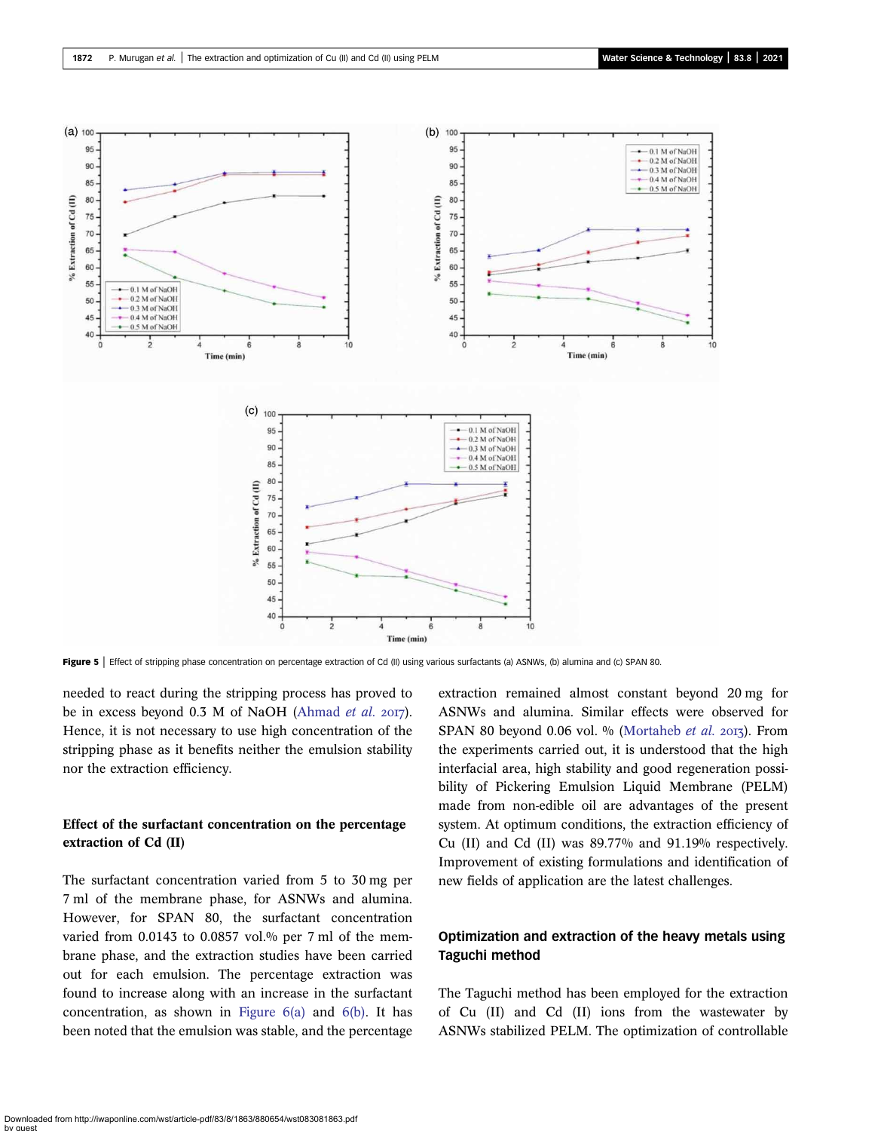<span id="page-9-0"></span>

Figure 5 | Effect of stripping phase concentration on percentage extraction of Cd (II) using various surfactants (a) ASNWs, (b) alumina and (c) SPAN 80.

needed to react during the stripping process has proved to be in excess beyond  $0.3$  M of NaOH ([Ahmad](#page-14-0) et al. 2017). Hence, it is not necessary to use high concentration of the stripping phase as it benefits neither the emulsion stability nor the extraction efficiency.

# Effect of the surfactant concentration on the percentage extraction of Cd (II)

The surfactant concentration varied from 5 to 30 mg per 7 ml of the membrane phase, for ASNWs and alumina. However, for SPAN 80, the surfactant concentration varied from 0.0143 to 0.0857 vol.% per 7 ml of the membrane phase, and the extraction studies have been carried out for each emulsion. The percentage extraction was found to increase along with an increase in the surfactant concentration, as shown in Figure  $6(a)$  and  $6(b)$ . It has been noted that the emulsion was stable, and the percentage extraction remained almost constant beyond 20 mg for ASNWs and alumina. Similar effects were observed for SPAN 80 beyond 0.06 vol.  $\%$  [\(Mortaheb](#page-14-0) et al. 2013). From the experiments carried out, it is understood that the high interfacial area, high stability and good regeneration possibility of Pickering Emulsion Liquid Membrane (PELM) made from non-edible oil are advantages of the present system. At optimum conditions, the extraction efficiency of Cu (II) and Cd (II) was 89.77% and 91.19% respectively. Improvement of existing formulations and identification of new fields of application are the latest challenges.

# Optimization and extraction of the heavy metals using Taguchi method

The Taguchi method has been employed for the extraction of Cu (II) and Cd (II) ions from the wastewater by ASNWs stabilized PELM. The optimization of controllable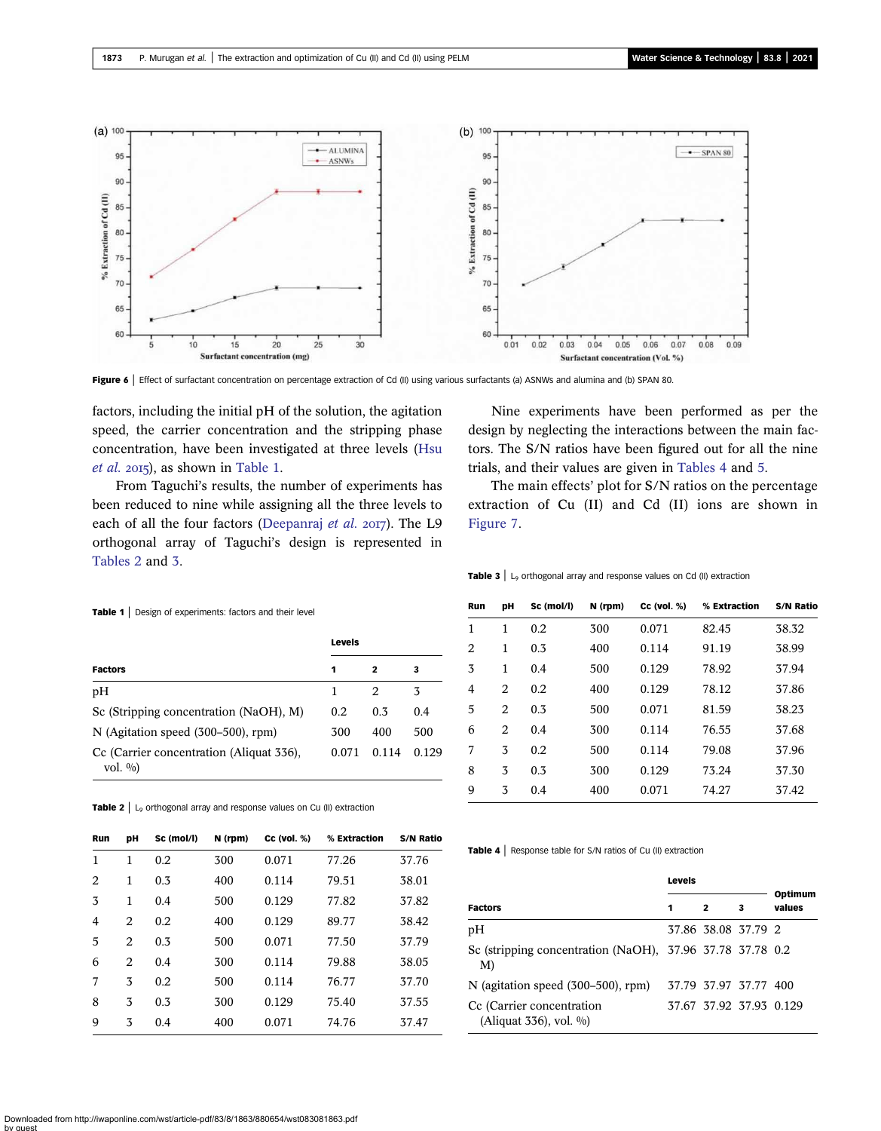<span id="page-10-0"></span>

Figure 6 | Effect of surfactant concentration on percentage extraction of Cd (II) using various surfactants (a) ASNWs and alumina and (b) SPAN 80.

factors, including the initial pH of the solution, the agitation speed, the carrier concentration and the stripping phase concentration, have been investigated at three levels [\(Hsu](#page-14-0)  $et$  al. 2015), as shown in Table 1.

From Taguchi's results, the number of experiments has been reduced to nine while assigning all the three levels to each of all the four factors [\(Deepanraj](#page-14-0) et al.  $2017$ ). The L9 orthogonal array of Taguchi's design is represented in Tables 2 and 3.

Nine experiments have been performed as per the design by neglecting the interactions between the main factors. The S/N ratios have been figured out for all the nine trials, and their values are given in Tables 4 and [5](#page-11-0).

The main effects' plot for S/N ratios on the percentage extraction of Cu (II) and Cd (II) ions are shown in [Figure 7.](#page-11-0)

| <b>Table 1</b> Design of experiments: factors and their level |        |       |       |  |  |  |  |  |
|---------------------------------------------------------------|--------|-------|-------|--|--|--|--|--|
|                                                               | Levels |       |       |  |  |  |  |  |
| <b>Factors</b><br>2<br>1<br>3                                 |        |       |       |  |  |  |  |  |
| pH                                                            | 1      | 2     | 3     |  |  |  |  |  |
| Sc (Stripping concentration (NaOH), M)                        | 0.2    | 0.3   | 0.4   |  |  |  |  |  |
| $N$ (Agitation speed $(300-500)$ , rpm)                       | 300    | 400   | 500   |  |  |  |  |  |
| Cc (Carrier concentration (Aliquat 336),<br>vol. $\%$ )       | 0.071  | 0.114 | 0.129 |  |  |  |  |  |

**Table 2**  $\vert$  L<sub>9</sub> orthogonal array and response values on Cu (II) extraction

| <b>Run</b>     | pН             | Sc (mol/l) | N (rpm) | $CC$ (vol. $%$ ) | % Extraction | <b>S/N Ratio</b> |
|----------------|----------------|------------|---------|------------------|--------------|------------------|
| $\mathbf{1}$   | 1              | 0.2        | 300     | 0.071            | 77.26        | 37.76            |
| 2              | 1              | 0.3        | 400     | 0.114            | 79.51        | 38.01            |
| 3              | 1              | 0.4        | 500     | 0.129            | 77.82        | 37.82            |
| $\overline{4}$ | 2              | 0.2        | 400     | 0.129            | 89.77        | 38.42            |
| 5              | 2              | 0.3        | 500     | 0.071            | 77.50        | 37.79            |
| 6              | $\overline{2}$ | 0.4        | 300     | 0.114            | 79.88        | 38.05            |
| 7              | 3              | 0.2        | 500     | 0.114            | 76.77        | 37.70            |
| 8              | 3              | 0.3        | 300     | 0.129            | 75.40        | 37.55            |
| 9              | 3              | 0.4        | 400     | 0.071            | 74.76        | 37.47            |

**Table 3**  $\vert$  L<sub>9</sub> orthogonal array and response values on Cd (II) extraction

| Run | DН | Sc (mol/l) | N (rpm) | $cc$ (vol. $%$ ) | % Extraction | S/N Ratio |
|-----|----|------------|---------|------------------|--------------|-----------|
| 1   | 1  | 0.2        | 300     | 0.071            | 82.45        | 38.32     |
| 2   | 1  | 0.3        | 400     | 0.114            | 91.19        | 38.99     |
| 3   | 1  | 0.4        | 500     | 0.129            | 78.92        | 37.94     |
| 4   | 2  | 0.2        | 400     | 0.129            | 78.12        | 37.86     |
| 5   | 2  | 0.3        | 500     | 0.071            | 81.59        | 38.23     |
| 6   | 2  | 0.4        | 300     | 0.114            | 76.55        | 37.68     |
| 7   | 3  | 0.2        | 500     | 0.114            | 79.08        | 37.96     |
| 8   | 3  | 0.3        | 300     | 0.129            | 73.24        | 37.30     |
| 9   | 3  | 0.4        | 400     | 0.071            | 74.27        | 37.42     |

Table 4 | Response table for S/N ratios of Cu (II) extraction

|                                                                   | Levels |              |                         |                   |
|-------------------------------------------------------------------|--------|--------------|-------------------------|-------------------|
| Factors                                                           | 1      | $\mathbf{z}$ | 3                       | Optimum<br>values |
| pН                                                                |        |              | 37.86 38.08 37.79 2     |                   |
| Sc (stripping concentration (NaOH), $37.96$ 37.78 37.78 0.2<br>M) |        |              |                         |                   |
| N (agitation speed $(300-500)$ , rpm)                             |        |              | 37.79 37.97 37.77 400   |                   |
| Cc (Carrier concentration<br>(Aliquat $336$ ), vol. $\%$ )        |        |              | 37.67 37.92 37.93 0.129 |                   |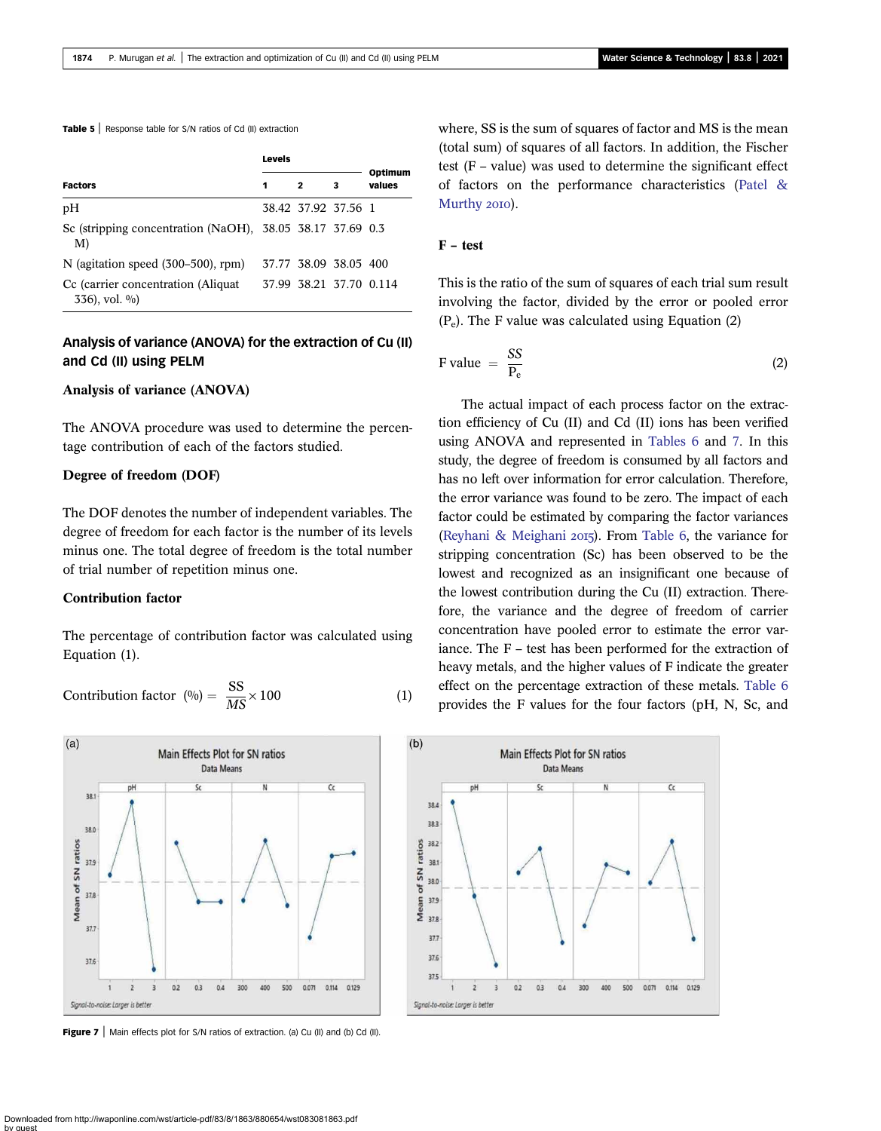<span id="page-11-0"></span>Table 5 | Response table for S/N ratios of Cd (II) extraction

|                                                                 | <b>Levels</b> |                         |   |                   |  |
|-----------------------------------------------------------------|---------------|-------------------------|---|-------------------|--|
| <b>Factors</b>                                                  | 1             | $\overline{2}$          | 3 | Optimum<br>values |  |
| pН                                                              |               | 38.42 37.92 37.56 1     |   |                   |  |
| Sc (stripping concentration (NaOH), 38.05 38.17 37.69 0.3<br>M) |               |                         |   |                   |  |
| N (agitation speed $(300-500)$ , rpm)                           |               | 37.77 38.09 38.05 400   |   |                   |  |
| Cc (carrier concentration (Aliquat)<br>$336$ , vol. $\%$ )      |               | 37.99 38.21 37.70 0.114 |   |                   |  |

# Analysis of variance (ANOVA) for the extraction of Cu (II) and Cd (II) using PELM

#### Analysis of variance (ANOVA)

The ANOVA procedure was used to determine the percentage contribution of each of the factors studied.

#### Degree of freedom (DOF)

The DOF denotes the number of independent variables. The degree of freedom for each factor is the number of its levels minus one. The total degree of freedom is the total number of trial number of repetition minus one.

#### Contribution factor

The percentage of contribution factor was calculated using Equation (1).

$$
Contribution factor (0/0) = \frac{SS}{MS} \times 100
$$
 (1)



**Figure 7** | Main effects plot for S/N ratios of extraction. (a) Cu (II) and (b) Cd (II).

where, SS is the sum of squares of factor and MS is the mean (total sum) of squares of all factors. In addition, the Fischer test (F – value) was used to determine the significant effect of factors on the performance characteristics [\(Patel &](#page-14-0) [Murthy](#page-14-0) 2010).

### F – test

This is the ratio of the sum of squares of each trial sum result involving the factor, divided by the error or pooled error  $(P_e)$ . The F value was calculated using Equation (2)

$$
\text{F value} = \frac{SS}{P_e} \tag{2}
$$

The actual impact of each process factor on the extraction efficiency of Cu (II) and Cd (II) ions has been verified using ANOVA and represented in [Tables 6](#page-12-0) and [7.](#page-12-0) In this study, the degree of freedom is consumed by all factors and has no left over information for error calculation. Therefore, the error variance was found to be zero. The impact of each factor could be estimated by comparing the factor variances [\(Reyhani & Meighani](#page-14-0) 2015). From [Table 6,](#page-12-0) the variance for stripping concentration (Sc) has been observed to be the lowest and recognized as an insignificant one because of the lowest contribution during the Cu (II) extraction. Therefore, the variance and the degree of freedom of carrier concentration have pooled error to estimate the error variance. The F – test has been performed for the extraction of heavy metals, and the higher values of F indicate the greater effect on the percentage extraction of these metals. [Table 6](#page-12-0) provides the F values for the four factors (pH, N, Sc, and

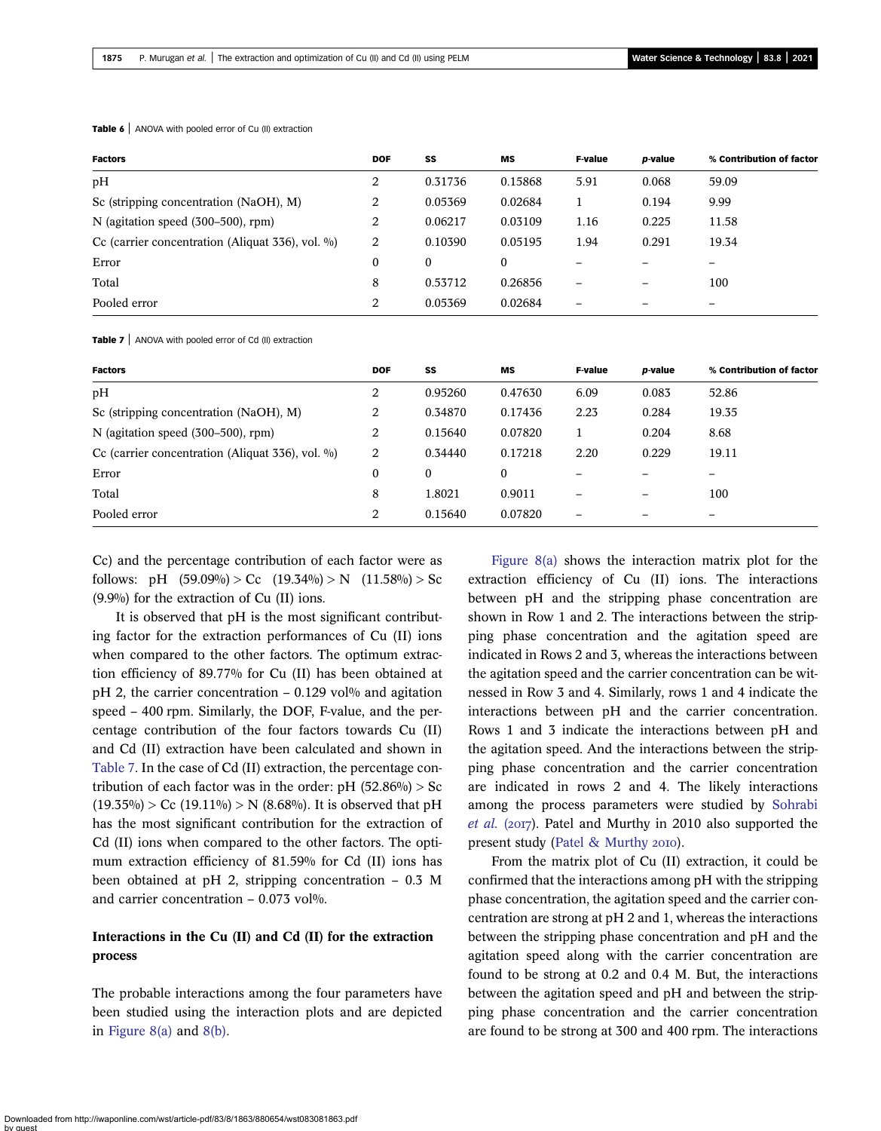| <b>Factors</b>                                          | <b>DOF</b> | SS       | МS       | <b>F-value</b>           | p-value | % Contribution of factor |
|---------------------------------------------------------|------------|----------|----------|--------------------------|---------|--------------------------|
| pH                                                      | 2          | 0.31736  | 0.15868  | 5.91                     | 0.068   | 59.09                    |
| Sc (stripping concentration (NaOH), M)                  | 2          | 0.05369  | 0.02684  |                          | 0.194   | 9.99                     |
| N (agitation speed (300–500), rpm)                      | 2          | 0.06217  | 0.03109  | 1.16                     | 0.225   | 11.58                    |
| Cc (carrier concentration (Aliquat $336$ ), vol. $\%$ ) | 2          | 0.10390  | 0.05195  | 1.94                     | 0.291   | 19.34                    |
| Error                                                   | $\Omega$   | $\bf{0}$ | $\bf{0}$ |                          |         |                          |
| Total                                                   | 8          | 0.53712  | 0.26856  | $\overline{\phantom{0}}$ |         | 100                      |
| Pooled error                                            | 2          | 0.05369  | 0.02684  | -                        |         |                          |

<span id="page-12-0"></span>Table 6 | ANOVA with pooled error of Cu (II) extraction

Table 7 | ANOVA with pooled error of Cd (II) extraction

| <b>Factors</b>                                          | <b>DOF</b> | SS               | MS           | <b>F-value</b> | <i>p</i> -value | % Contribution of factor |
|---------------------------------------------------------|------------|------------------|--------------|----------------|-----------------|--------------------------|
| pH                                                      | 2          | 0.95260          | 0.47630      | 6.09           | 0.083           | 52.86                    |
| Sc (stripping concentration (NaOH), M)                  | 2          | 0.34870          | 0.17436      | 2.23           | 0.284           | 19.35                    |
| N (agitation speed $(300-500)$ , rpm)                   | 2          | 0.15640          | 0.07820      |                | 0.204           | 8.68                     |
| Cc (carrier concentration (Aliquat $336$ ), vol. $\%$ ) | 2          | 0.34440          | 0.17218      | 2.20           | 0.229           | 19.11                    |
| Error                                                   | 0          | $\boldsymbol{0}$ | $\mathbf{0}$ |                |                 |                          |
| Total                                                   | 8          | 1.8021           | 0.9011       |                |                 | 100                      |
| Pooled error                                            | 2          | 0.15640          | 0.07820      | -              |                 | -                        |

Cc) and the percentage contribution of each factor were as follows: pH  $(59.09\%) > Cc$   $(19.34\%) > N$   $(11.58\%) > Sc$ (9.9%) for the extraction of Cu (II) ions.

It is observed that pH is the most significant contributing factor for the extraction performances of Cu (II) ions when compared to the other factors. The optimum extraction efficiency of 89.77% for Cu (II) has been obtained at pH 2, the carrier concentration – 0.129 vol<sup>%</sup> and agitation speed – 400 rpm. Similarly, the DOF, F-value, and the percentage contribution of the four factors towards Cu (II) and Cd (II) extraction have been calculated and shown in Table 7. In the case of Cd (II) extraction, the percentage contribution of each factor was in the order:  $pH (52.86%) > Sc$  $(19.35\%)$  > Cc  $(19.11\%)$  > N  $(8.68\%)$ . It is observed that pH has the most significant contribution for the extraction of Cd (II) ions when compared to the other factors. The optimum extraction efficiency of 81.59% for Cd (II) ions has been obtained at pH 2, stripping concentration – 0.3 M and carrier concentration  $-0.073$  vol%.

# Interactions in the Cu (II) and Cd (II) for the extraction process

The probable interactions among the four parameters have been studied using the interaction plots and are depicted in [Figure 8\(a\)](#page-13-0) and [8\(b\).](#page-13-0)

[Figure 8\(a\)](#page-13-0) shows the interaction matrix plot for the extraction efficiency of Cu (II) ions. The interactions between pH and the stripping phase concentration are shown in Row 1 and 2. The interactions between the stripping phase concentration and the agitation speed are indicated in Rows 2 and 3, whereas the interactions between the agitation speed and the carrier concentration can be witnessed in Row 3 and 4. Similarly, rows 1 and 4 indicate the interactions between pH and the carrier concentration. Rows 1 and 3 indicate the interactions between pH and the agitation speed. And the interactions between the stripping phase concentration and the carrier concentration are indicated in rows 2 and 4. The likely interactions among the process parameters were studied by [Sohrabi](#page-14-0) *[et al.](#page-14-0)* ( $2017$ ). Patel and Murthy in 2010 also supported the present study [\(Patel & Murthy](#page-14-0) 2010).

From the matrix plot of Cu (II) extraction, it could be confirmed that the interactions among pH with the stripping phase concentration, the agitation speed and the carrier concentration are strong at pH 2 and 1, whereas the interactions between the stripping phase concentration and pH and the agitation speed along with the carrier concentration are found to be strong at 0.2 and 0.4 M. But, the interactions between the agitation speed and pH and between the stripping phase concentration and the carrier concentration are found to be strong at 300 and 400 rpm. The interactions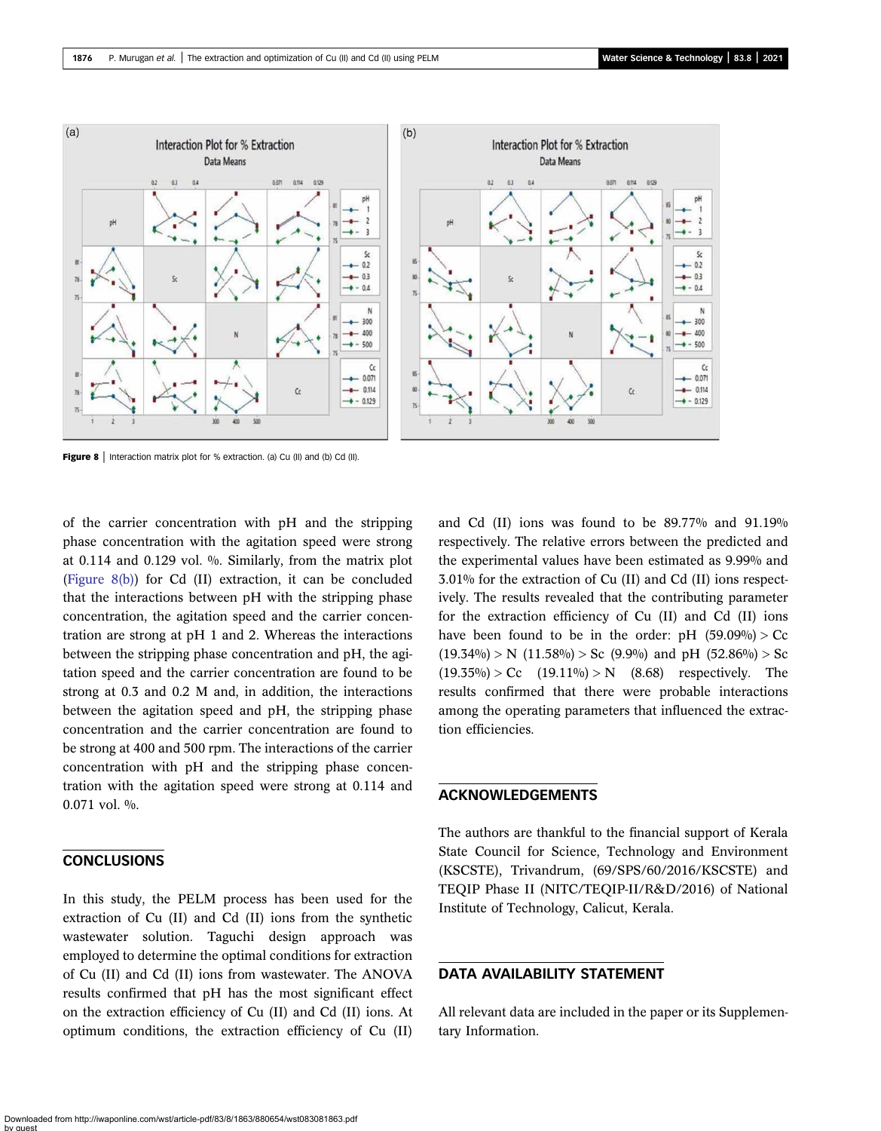<span id="page-13-0"></span>

Figure 8 | Interaction matrix plot for % extraction. (a) Cu (II) and (b) Cd (II).

of the carrier concentration with pH and the stripping phase concentration with the agitation speed were strong at 0.114 and 0.129 vol. %. Similarly, from the matrix plot (Figure 8(b)) for Cd (II) extraction, it can be concluded that the interactions between pH with the stripping phase concentration, the agitation speed and the carrier concentration are strong at pH 1 and 2. Whereas the interactions between the stripping phase concentration and pH, the agitation speed and the carrier concentration are found to be strong at 0.3 and 0.2 M and, in addition, the interactions between the agitation speed and pH, the stripping phase concentration and the carrier concentration are found to be strong at 400 and 500 rpm. The interactions of the carrier concentration with pH and the stripping phase concentration with the agitation speed were strong at 0.114 and 0.071 vol. %.

### CONCLUSIONS

In this study, the PELM process has been used for the extraction of Cu (II) and Cd (II) ions from the synthetic wastewater solution. Taguchi design approach was employed to determine the optimal conditions for extraction of Cu (II) and Cd (II) ions from wastewater. The ANOVA results confirmed that pH has the most significant effect on the extraction efficiency of Cu (II) and Cd (II) ions. At optimum conditions, the extraction efficiency of Cu (II) and Cd (II) ions was found to be 89.77% and 91.19% respectively. The relative errors between the predicted and the experimental values have been estimated as 9.99% and 3.01% for the extraction of Cu (II) and Cd (II) ions respectively. The results revealed that the contributing parameter for the extraction efficiency of Cu (II) and Cd (II) ions have been found to be in the order:  $pH$  (59.09%) > Cc  $(19.34\%) > N$   $(11.58\%) > Sc$   $(9.9\%)$  and pH  $(52.86\%) > Sc$  $(19.35\%) > Cc$   $(19.11\%) > N$   $(8.68)$  respectively. The results confirmed that there were probable interactions among the operating parameters that influenced the extraction efficiencies.

#### ACKNOWLEDGEMENTS

The authors are thankful to the financial support of Kerala State Council for Science, Technology and Environment (KSCSTE), Trivandrum, (69/SPS/60/2016/KSCSTE) and TEQIP Phase II (NITC/TEQIP-II/R&D/2016) of National Institute of Technology, Calicut, Kerala.

### DATA AVAILABILITY STATEMENT

All relevant data are included in the paper or its Supplementary Information.